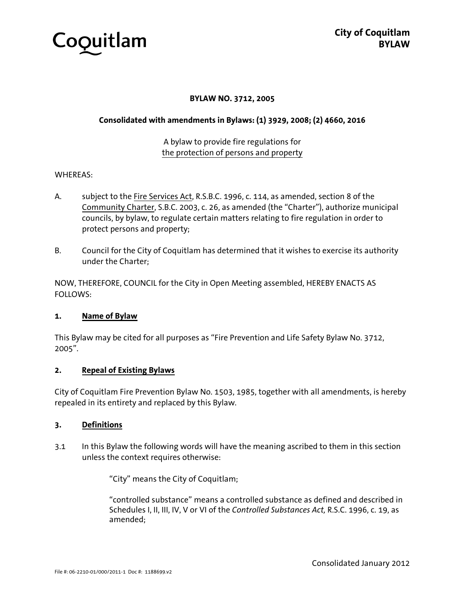

## **BYLAW NO. 3712, 2005**

#### **Consolidated with amendments in Bylaws: (1) 3929, 2008; (2) 4660, 2016**

# A bylaw to provide fire regulations for the protection of persons and property

#### WHEREAS:

- A. subject to the Fire Services Act, R.S.B.C. 1996, c. 114, as amended, section 8 of the Community Charter, S.B.C. 2003, c. 26, as amended (the "Charter"), authorize municipal councils, by bylaw, to regulate certain matters relating to fire regulation in order to protect persons and property;
- B. Council for the City of Coquitlam has determined that it wishes to exercise its authority under the Charter;

NOW, THEREFORE, COUNCIL for the City in Open Meeting assembled, HEREBY ENACTS AS FOLLOWS:

#### **1. Name of Bylaw**

This Bylaw may be cited for all purposes as "Fire Prevention and Life Safety Bylaw No. 3712, 2005".

#### **2. Repeal of Existing Bylaws**

City of Coquitlam Fire Prevention Bylaw No. 1503, 1985, together with all amendments, is hereby repealed in its entirety and replaced by this Bylaw.

#### **3. Definitions**

3.1 In this Bylaw the following words will have the meaning ascribed to them in this section unless the context requires otherwise:

"City" means the City of Coquitlam;

 "controlled substance" means a controlled substance as defined and described in Schedules I, II, III, IV, V or VI of the *Controlled Substances Act,* R.S.C. 1996, c. 19, as amended;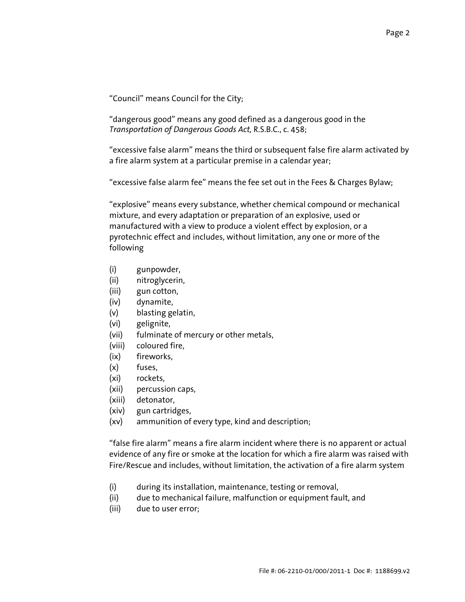"Council" means Council for the City;

"dangerous good" means any good defined as a dangerous good in the *Transportation of Dangerous Goods Act,* R.S.B.C., c. 458;

"excessive false alarm" means the third or subsequent false fire alarm activated by a fire alarm system at a particular premise in a calendar year;

"excessive false alarm fee" means the fee set out in the Fees & Charges Bylaw;

"explosive" means every substance, whether chemical compound or mechanical mixture, and every adaptation or preparation of an explosive, used or manufactured with a view to produce a violent effect by explosion, or a pyrotechnic effect and includes, without limitation, any one or more of the following

- (i) gunpowder,
- (ii) nitroglycerin,
- (iii) gun cotton,
- (iv) dynamite,
- (v) blasting gelatin,
- (vi) gelignite,
- (vii) fulminate of mercury or other metals,
- (viii) coloured fire,
- (ix) fireworks,
- (x) fuses,
- (xi) rockets,
- (xii) percussion caps,
- (xiii) detonator,
- (xiv) gun cartridges,
- (xv) ammunition of every type, kind and description;

"false fire alarm" means a fire alarm incident where there is no apparent or actual evidence of any fire or smoke at the location for which a fire alarm was raised with Fire/Rescue and includes, without limitation, the activation of a fire alarm system

- (i) during its installation, maintenance, testing or removal,
- (ii) due to mechanical failure, malfunction or equipment fault, and
- (iii) due to user error;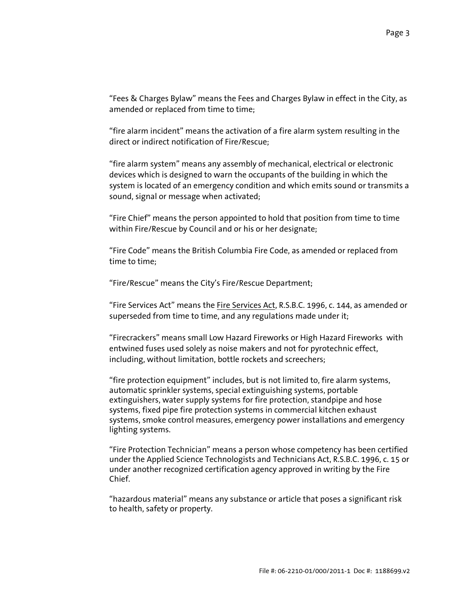"Fees & Charges Bylaw" means the Fees and Charges Bylaw in effect in the City, as amended or replaced from time to time;

"fire alarm incident" means the activation of a fire alarm system resulting in the direct or indirect notification of Fire/Rescue;

"fire alarm system" means any assembly of mechanical, electrical or electronic devices which is designed to warn the occupants of the building in which the system is located of an emergency condition and which emits sound or transmits a sound, signal or message when activated;

"Fire Chief" means the person appointed to hold that position from time to time within Fire/Rescue by Council and or his or her designate;

"Fire Code" means the British Columbia Fire Code, as amended or replaced from time to time;

"Fire/Rescue" means the City's Fire/Rescue Department;

 "Fire Services Act" means the Fire Services Act, R.S.B.C. 1996, c. 144, as amended or superseded from time to time, and any regulations made under it;

 "Firecrackers" means small Low Hazard Fireworks or High Hazard Fireworks with entwined fuses used solely as noise makers and not for pyrotechnic effect, including, without limitation, bottle rockets and screechers;

 "fire protection equipment" includes, but is not limited to, fire alarm systems, automatic sprinkler systems, special extinguishing systems, portable extinguishers, water supply systems for fire protection, standpipe and hose systems, fixed pipe fire protection systems in commercial kitchen exhaust systems, smoke control measures, emergency power installations and emergency lighting systems.

 "Fire Protection Technician" means a person whose competency has been certified under the Applied Science Technologists and Technicians Act, R.S.B.C. 1996, c. 15 or under another recognized certification agency approved in writing by the Fire Chief.

 "hazardous material" means any substance or article that poses a significant risk to health, safety or property.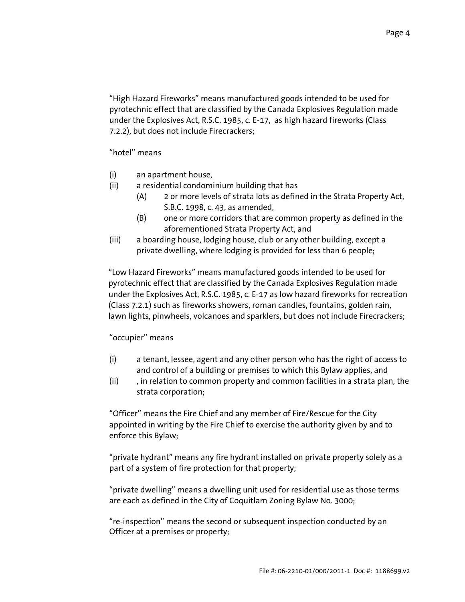"High Hazard Fireworks" means manufactured goods intended to be used for pyrotechnic effect that are classified by the Canada Explosives Regulation made under the Explosives Act, R.S.C. 1985, c. E-17, as high hazard fireworks (Class 7.2.2), but does not include Firecrackers;

"hotel" means

- (i) an apartment house,
- (ii) a residential condominium building that has
	- (A) 2 or more levels of strata lots as defined in the Strata Property Act, S.B.C. 1998, c. 43, as amended,
	- (B) one or more corridors that are common property as defined in the aforementioned Strata Property Act, and
- (iii) a boarding house, lodging house, club or any other building, except a private dwelling, where lodging is provided for less than 6 people;

 "Low Hazard Fireworks" means manufactured goods intended to be used for pyrotechnic effect that are classified by the Canada Explosives Regulation made under the Explosives Act, R.S.C. 1985, c. E-17 as low hazard fireworks for recreation (Class 7.2.1) such as fireworks showers, roman candles, fountains, golden rain, lawn lights, pinwheels, volcanoes and sparklers, but does not include Firecrackers;

## "occupier" means

- (i) a tenant, lessee, agent and any other person who has the right of access to and control of a building or premises to which this Bylaw applies, and
- (ii) , in relation to common property and common facilities in a strata plan, the strata corporation;

 "Officer" means the Fire Chief and any member of Fire/Rescue for the City appointed in writing by the Fire Chief to exercise the authority given by and to enforce this Bylaw;

 "private hydrant" means any fire hydrant installed on private property solely as a part of a system of fire protection for that property;

 "private dwelling" means a dwelling unit used for residential use as those terms are each as defined in the City of Coquitlam Zoning Bylaw No. 3000;

 "re-inspection" means the second or subsequent inspection conducted by an Officer at a premises or property;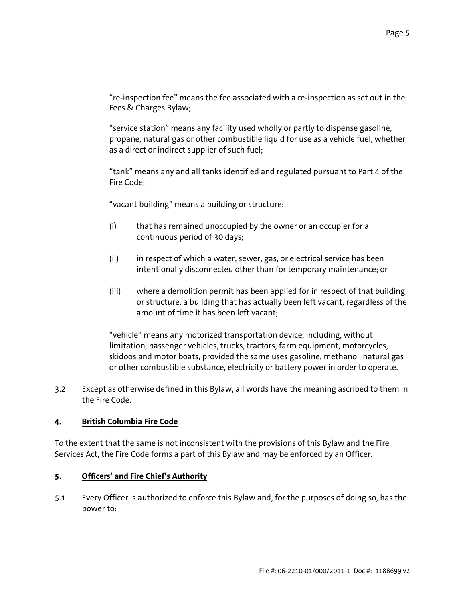"re-inspection fee" means the fee associated with a re-inspection as set out in the Fees & Charges Bylaw;

 "service station" means any facility used wholly or partly to dispense gasoline, propane, natural gas or other combustible liquid for use as a vehicle fuel, whether as a direct or indirect supplier of such fuel;

 "tank" means any and all tanks identified and regulated pursuant to Part 4 of the Fire Code;

"vacant building" means a building or structure:

- (i) that has remained unoccupied by the owner or an occupier for a continuous period of 30 days;
- (ii) in respect of which a water, sewer, gas, or electrical service has been intentionally disconnected other than for temporary maintenance; or
- (iii) where a demolition permit has been applied for in respect of that building or structure, a building that has actually been left vacant, regardless of the amount of time it has been left vacant;

 "vehicle" means any motorized transportation device, including, without limitation, passenger vehicles, trucks, tractors, farm equipment, motorcycles, skidoos and motor boats, provided the same uses gasoline, methanol, natural gas or other combustible substance, electricity or battery power in order to operate.

3.2 Except as otherwise defined in this Bylaw, all words have the meaning ascribed to them in the Fire Code.

# **4. British Columbia Fire Code**

To the extent that the same is not inconsistent with the provisions of this Bylaw and the Fire Services Act, the Fire Code forms a part of this Bylaw and may be enforced by an Officer.

## **5. Officers' and Fire Chief's Authority**

5.1 Every Officer is authorized to enforce this Bylaw and, for the purposes of doing so, has the power to: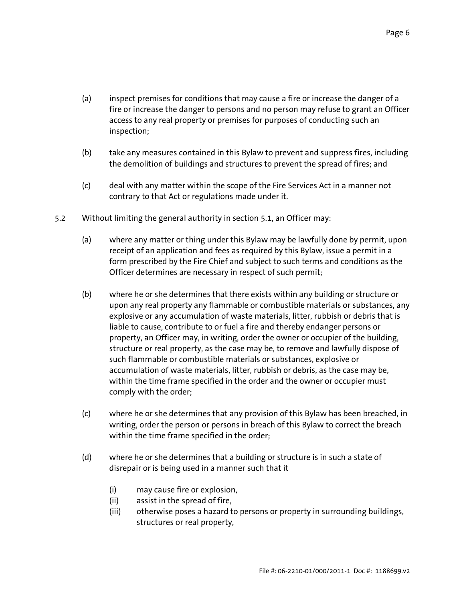- (a) inspect premises for conditions that may cause a fire or increase the danger of a fire or increase the danger to persons and no person may refuse to grant an Officer access to any real property or premises for purposes of conducting such an inspection;
- (b) take any measures contained in this Bylaw to prevent and suppress fires, including the demolition of buildings and structures to prevent the spread of fires; and
- (c) deal with any matter within the scope of the Fire Services Act in a manner not contrary to that Act or regulations made under it.
- 5.2 Without limiting the general authority in section 5.1, an Officer may:
	- (a) where any matter or thing under this Bylaw may be lawfully done by permit, upon receipt of an application and fees as required by this Bylaw, issue a permit in a form prescribed by the Fire Chief and subject to such terms and conditions as the Officer determines are necessary in respect of such permit;
	- (b) where he or she determines that there exists within any building or structure or upon any real property any flammable or combustible materials or substances, any explosive or any accumulation of waste materials, litter, rubbish or debris that is liable to cause, contribute to or fuel a fire and thereby endanger persons or property, an Officer may, in writing, order the owner or occupier of the building, structure or real property, as the case may be, to remove and lawfully dispose of such flammable or combustible materials or substances, explosive or accumulation of waste materials, litter, rubbish or debris, as the case may be, within the time frame specified in the order and the owner or occupier must comply with the order;
	- (c) where he or she determines that any provision of this Bylaw has been breached, in writing, order the person or persons in breach of this Bylaw to correct the breach within the time frame specified in the order;
	- (d) where he or she determines that a building or structure is in such a state of disrepair or is being used in a manner such that it
		- (i) may cause fire or explosion,
		- (ii) assist in the spread of fire,
		- (iii) otherwise poses a hazard to persons or property in surrounding buildings, structures or real property,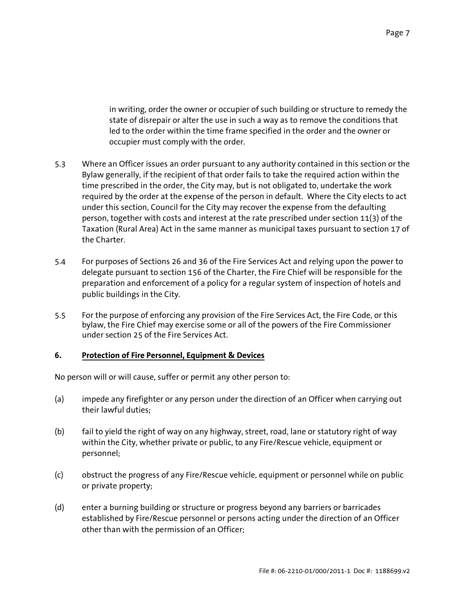in writing, order the owner or occupier of such building or structure to remedy the state of disrepair or alter the use in such a way as to remove the conditions that led to the order within the time frame specified in the order and the owner or occupier must comply with the order.

- 5.3 Where an Officer issues an order pursuant to any authority contained in this section or the Bylaw generally, if the recipient of that order fails to take the required action within the time prescribed in the order, the City may, but is not obligated to, undertake the work required by the order at the expense of the person in default. Where the City elects to act under this section, Council for the City may recover the expense from the defaulting person, together with costs and interest at the rate prescribed under section 11(3) of the Taxation (Rural Area) Act in the same manner as municipal taxes pursuant to section 17 of the Charter.
- 5.4 For purposes of Sections 26 and 36 of the Fire Services Act and relying upon the power to delegate pursuant to section 156 of the Charter, the Fire Chief will be responsible for the preparation and enforcement of a policy for a regular system of inspection of hotels and public buildings in the City.
- 5.5 For the purpose of enforcing any provision of the Fire Services Act, the Fire Code, or this bylaw, the Fire Chief may exercise some or all of the powers of the Fire Commissioner under section 25 of the Fire Services Act.

## **6. Protection of Fire Personnel, Equipment & Devices**

No person will or will cause, suffer or permit any other person to:

- (a) impede any firefighter or any person under the direction of an Officer when carrying out their lawful duties;
- (b) fail to yield the right of way on any highway, street, road, lane or statutory right of way within the City, whether private or public, to any Fire/Rescue vehicle, equipment or personnel;
- (c) obstruct the progress of any Fire/Rescue vehicle, equipment or personnel while on public or private property;
- (d) enter a burning building or structure or progress beyond any barriers or barricades established by Fire/Rescue personnel or persons acting under the direction of an Officer other than with the permission of an Officer;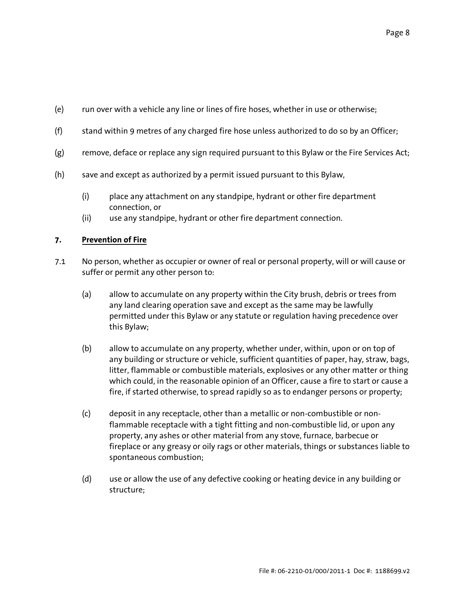- (e) run over with a vehicle any line or lines of fire hoses, whether in use or otherwise;
- (f) stand within 9 metres of any charged fire hose unless authorized to do so by an Officer;
- (g) remove, deface or replace any sign required pursuant to this Bylaw or the Fire Services Act;
- (h) save and except as authorized by a permit issued pursuant to this Bylaw,
	- (i) place any attachment on any standpipe, hydrant or other fire department connection, or
	- (ii) use any standpipe, hydrant or other fire department connection.

#### **7. Prevention of Fire**

- 7.1 No person, whether as occupier or owner of real or personal property, will or will cause or suffer or permit any other person to:
	- (a) allow to accumulate on any property within the City brush, debris or trees from any land clearing operation save and except as the same may be lawfully permitted under this Bylaw or any statute or regulation having precedence over this Bylaw;
	- (b) allow to accumulate on any property, whether under, within, upon or on top of any building or structure or vehicle, sufficient quantities of paper, hay, straw, bags, litter, flammable or combustible materials, explosives or any other matter or thing which could, in the reasonable opinion of an Officer, cause a fire to start or cause a fire, if started otherwise, to spread rapidly so as to endanger persons or property;
	- (c) deposit in any receptacle, other than a metallic or non-combustible or nonflammable receptacle with a tight fitting and non-combustible lid, or upon any property, any ashes or other material from any stove, furnace, barbecue or fireplace or any greasy or oily rags or other materials, things or substances liable to spontaneous combustion;
	- (d) use or allow the use of any defective cooking or heating device in any building or structure;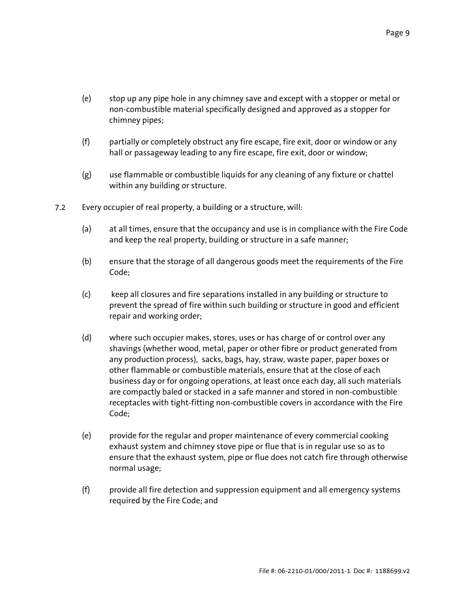- (e) stop up any pipe hole in any chimney save and except with a stopper or metal or non-combustible material specifically designed and approved as a stopper for chimney pipes;
- (f) partially or completely obstruct any fire escape, fire exit, door or window or any hall or passageway leading to any fire escape, fire exit, door or window;
- (g) use flammable or combustible liquids for any cleaning of any fixture or chattel within any building or structure.
- 7.2 Every occupier of real property, a building or a structure, will:
	- (a) at all times, ensure that the occupancy and use is in compliance with the Fire Code and keep the real property, building or structure in a safe manner;
	- (b) ensure that the storage of all dangerous goods meet the requirements of the Fire Code;
	- (c) keep all closures and fire separations installed in any building or structure to prevent the spread of fire within such building or structure in good and efficient repair and working order;
	- (d) where such occupier makes, stores, uses or has charge of or control over any shavings (whether wood, metal, paper or other fibre or product generated from any production process), sacks, bags, hay, straw, waste paper, paper boxes or other flammable or combustible materials, ensure that at the close of each business day or for ongoing operations, at least once each day, all such materials are compactly baled or stacked in a safe manner and stored in non-combustible receptacles with tight-fitting non-combustible covers in accordance with the Fire Code;
	- (e) provide for the regular and proper maintenance of every commercial cooking exhaust system and chimney stove pipe or flue that is in regular use so as to ensure that the exhaust system, pipe or flue does not catch fire through otherwise normal usage;
	- (f) provide all fire detection and suppression equipment and all emergency systems required by the Fire Code; and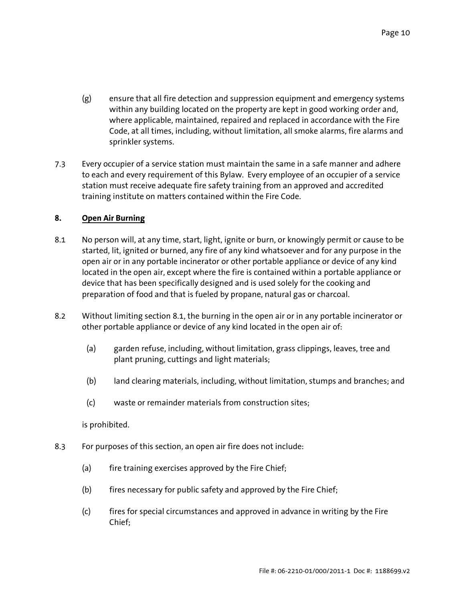- (g) ensure that all fire detection and suppression equipment and emergency systems within any building located on the property are kept in good working order and, where applicable, maintained, repaired and replaced in accordance with the Fire Code, at all times, including, without limitation, all smoke alarms, fire alarms and sprinkler systems.
- 7.3 Every occupier of a service station must maintain the same in a safe manner and adhere to each and every requirement of this Bylaw. Every employee of an occupier of a service station must receive adequate fire safety training from an approved and accredited training institute on matters contained within the Fire Code.

#### **8. Open Air Burning**

- 8.1 No person will, at any time, start, light, ignite or burn, or knowingly permit or cause to be started, lit, ignited or burned, any fire of any kind whatsoever and for any purpose in the open air or in any portable incinerator or other portable appliance or device of any kind located in the open air, except where the fire is contained within a portable appliance or device that has been specifically designed and is used solely for the cooking and preparation of food and that is fueled by propane, natural gas or charcoal.
- 8.2 Without limiting section 8.1, the burning in the open air or in any portable incinerator or other portable appliance or device of any kind located in the open air of:
	- (a) garden refuse, including, without limitation, grass clippings, leaves, tree and plant pruning, cuttings and light materials;
	- (b) land clearing materials, including, without limitation, stumps and branches; and
	- (c) waste or remainder materials from construction sites;

## is prohibited.

- 8.3 For purposes of this section, an open air fire does not include:
	- (a) fire training exercises approved by the Fire Chief;
	- (b) fires necessary for public safety and approved by the Fire Chief;
	- (c) fires for special circumstances and approved in advance in writing by the Fire Chief;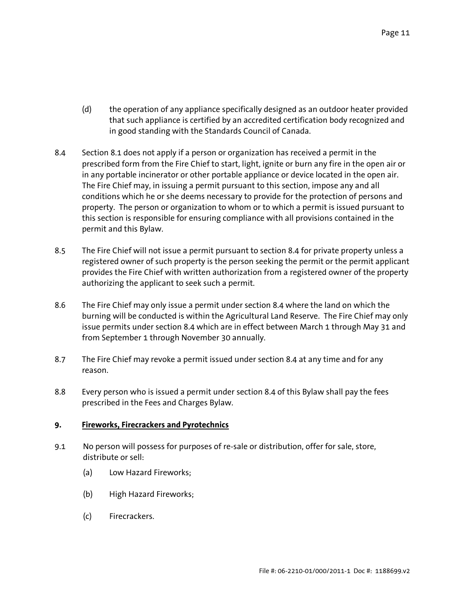- (d) the operation of any appliance specifically designed as an outdoor heater provided that such appliance is certified by an accredited certification body recognized and in good standing with the Standards Council of Canada.
- 8.4 Section 8.1 does not apply if a person or organization has received a permit in the prescribed form from the Fire Chief to start, light, ignite or burn any fire in the open air or in any portable incinerator or other portable appliance or device located in the open air. The Fire Chief may, in issuing a permit pursuant to this section, impose any and all conditions which he or she deems necessary to provide for the protection of persons and property. The person or organization to whom or to which a permit is issued pursuant to this section is responsible for ensuring compliance with all provisions contained in the permit and this Bylaw.
- 8.5 The Fire Chief will not issue a permit pursuant to section 8.4 for private property unless a registered owner of such property is the person seeking the permit or the permit applicant provides the Fire Chief with written authorization from a registered owner of the property authorizing the applicant to seek such a permit.
- 8.6 The Fire Chief may only issue a permit under section 8.4 where the land on which the burning will be conducted is within the Agricultural Land Reserve. The Fire Chief may only issue permits under section 8.4 which are in effect between March 1 through May 31 and from September 1 through November 30 annually.
- 8.7 The Fire Chief may revoke a permit issued under section 8.4 at any time and for any reason.
- 8.8 Every person who is issued a permit under section 8.4 of this Bylaw shall pay the fees prescribed in the Fees and Charges Bylaw.

## **9. Fireworks, Firecrackers and Pyrotechnics**

- 9.1 No person will possess for purposes of re-sale or distribution, offer for sale, store, distribute or sell:
	- (a) Low Hazard Fireworks;
	- (b) High Hazard Fireworks;
	- (c) Firecrackers.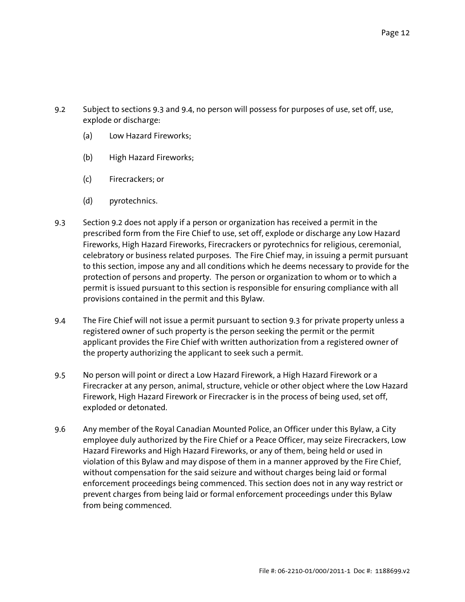- 9.2 Subject to sections 9.3 and 9.4, no person will possess for purposes of use, set off, use, explode or discharge:
	- (a) Low Hazard Fireworks;
	- (b) High Hazard Fireworks;
	- (c) Firecrackers; or
	- (d) pyrotechnics.
- 9.3 Section 9.2 does not apply if a person or organization has received a permit in the prescribed form from the Fire Chief to use, set off, explode or discharge any Low Hazard Fireworks, High Hazard Fireworks, Firecrackers or pyrotechnics for religious, ceremonial, celebratory or business related purposes. The Fire Chief may, in issuing a permit pursuant to this section, impose any and all conditions which he deems necessary to provide for the protection of persons and property. The person or organization to whom or to which a permit is issued pursuant to this section is responsible for ensuring compliance with all provisions contained in the permit and this Bylaw.
- 9.4 The Fire Chief will not issue a permit pursuant to section 9.3 for private property unless a registered owner of such property is the person seeking the permit or the permit applicant provides the Fire Chief with written authorization from a registered owner of the property authorizing the applicant to seek such a permit.
- 9.5 No person will point or direct a Low Hazard Firework, a High Hazard Firework or a Firecracker at any person, animal, structure, vehicle or other object where the Low Hazard Firework, High Hazard Firework or Firecracker is in the process of being used, set off, exploded or detonated.
- 9.6 Any member of the Royal Canadian Mounted Police, an Officer under this Bylaw, a City employee duly authorized by the Fire Chief or a Peace Officer, may seize Firecrackers, Low Hazard Fireworks and High Hazard Fireworks, or any of them, being held or used in violation of this Bylaw and may dispose of them in a manner approved by the Fire Chief, without compensation for the said seizure and without charges being laid or formal enforcement proceedings being commenced. This section does not in any way restrict or prevent charges from being laid or formal enforcement proceedings under this Bylaw from being commenced.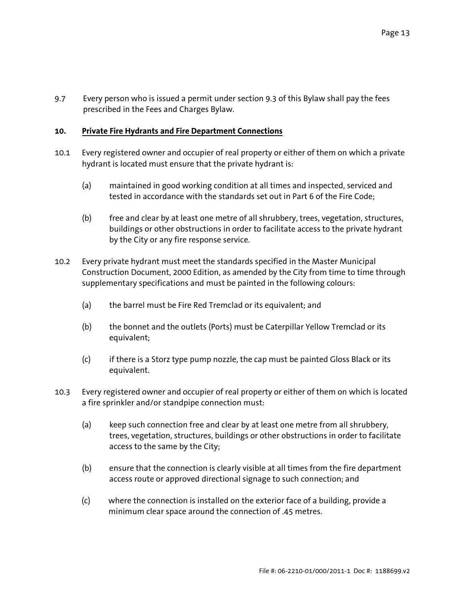9.7 Every person who is issued a permit under section 9.3 of this Bylaw shall pay the fees prescribed in the Fees and Charges Bylaw.

## **10. Private Fire Hydrants and Fire Department Connections**

- 10.1 Every registered owner and occupier of real property or either of them on which a private hydrant is located must ensure that the private hydrant is:
	- (a) maintained in good working condition at all times and inspected, serviced and tested in accordance with the standards set out in Part 6 of the Fire Code;
	- (b) free and clear by at least one metre of all shrubbery, trees, vegetation, structures, buildings or other obstructions in order to facilitate access to the private hydrant by the City or any fire response service.
- 10.2 Every private hydrant must meet the standards specified in the Master Municipal Construction Document, 2000 Edition, as amended by the City from time to time through supplementary specifications and must be painted in the following colours:
	- (a) the barrel must be Fire Red Tremclad or its equivalent; and
	- (b) the bonnet and the outlets (Ports) must be Caterpillar Yellow Tremclad or its equivalent;
	- (c) if there is a Storz type pump nozzle, the cap must be painted Gloss Black or its equivalent.
- 10.3 Every registered owner and occupier of real property or either of them on which is located a fire sprinkler and/or standpipe connection must:
	- (a) keep such connection free and clear by at least one metre from all shrubbery, trees, vegetation, structures, buildings or other obstructions in order to facilitate access to the same by the City;
	- (b) ensure that the connection is clearly visible at all times from the fire department access route or approved directional signage to such connection; and
	- (c) where the connection is installed on the exterior face of a building, provide a minimum clear space around the connection of .45 metres.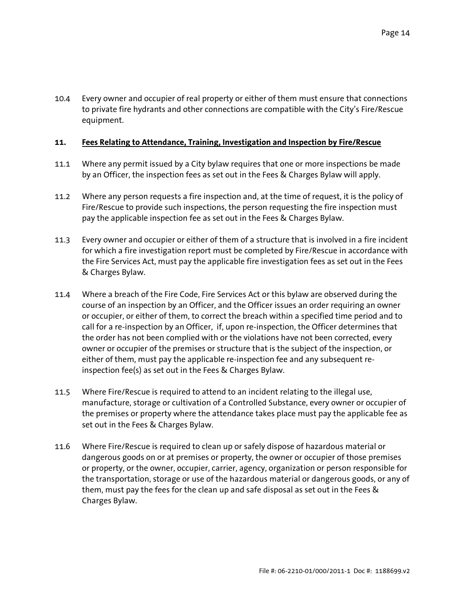10.4 Every owner and occupier of real property or either of them must ensure that connections to private fire hydrants and other connections are compatible with the City's Fire/Rescue equipment.

#### **11. Fees Relating to Attendance, Training, Investigation and Inspection by Fire/Rescue**

- 11.1 Where any permit issued by a City bylaw requires that one or more inspections be made by an Officer, the inspection fees as set out in the Fees & Charges Bylaw will apply.
- 11.2 Where any person requests a fire inspection and, at the time of request, it is the policy of Fire/Rescue to provide such inspections, the person requesting the fire inspection must pay the applicable inspection fee as set out in the Fees & Charges Bylaw.
- 11.3 Every owner and occupier or either of them of a structure that is involved in a fire incident for which a fire investigation report must be completed by Fire/Rescue in accordance with the Fire Services Act, must pay the applicable fire investigation fees as set out in the Fees & Charges Bylaw.
- 11.4 Where a breach of the Fire Code, Fire Services Act or this bylaw are observed during the course of an inspection by an Officer, and the Officer issues an order requiring an owner or occupier, or either of them, to correct the breach within a specified time period and to call for a re-inspection by an Officer, if, upon re-inspection, the Officer determines that the order has not been complied with or the violations have not been corrected, every owner or occupier of the premises or structure that is the subject of the inspection, or either of them, must pay the applicable re-inspection fee and any subsequent reinspection fee(s) as set out in the Fees & Charges Bylaw.
- 11.5 Where Fire/Rescue is required to attend to an incident relating to the illegal use, manufacture, storage or cultivation of a Controlled Substance, every owner or occupier of the premises or property where the attendance takes place must pay the applicable fee as set out in the Fees & Charges Bylaw.
- 11.6 Where Fire/Rescue is required to clean up or safely dispose of hazardous material or dangerous goods on or at premises or property, the owner or occupier of those premises or property, or the owner, occupier, carrier, agency, organization or person responsible for the transportation, storage or use of the hazardous material or dangerous goods, or any of them, must pay the fees for the clean up and safe disposal as set out in the Fees & Charges Bylaw.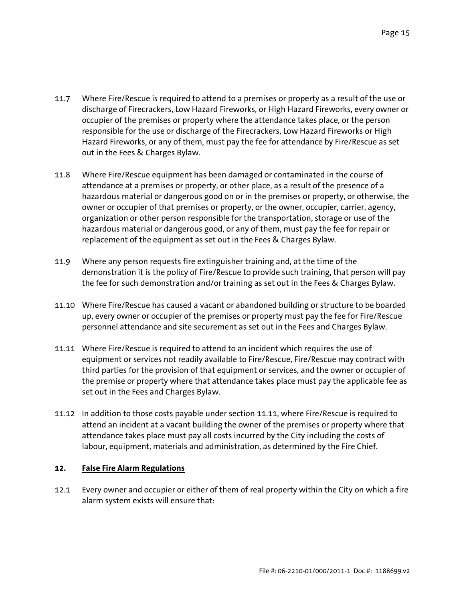- 11.7 Where Fire/Rescue is required to attend to a premises or property as a result of the use or discharge of Firecrackers, Low Hazard Fireworks, or High Hazard Fireworks, every owner or occupier of the premises or property where the attendance takes place, or the person responsible for the use or discharge of the Firecrackers, Low Hazard Fireworks or High Hazard Fireworks, or any of them, must pay the fee for attendance by Fire/Rescue as set out in the Fees & Charges Bylaw.
- 11.8 Where Fire/Rescue equipment has been damaged or contaminated in the course of attendance at a premises or property, or other place, as a result of the presence of a hazardous material or dangerous good on or in the premises or property, or otherwise, the owner or occupier of that premises or property, or the owner, occupier, carrier, agency, organization or other person responsible for the transportation, storage or use of the hazardous material or dangerous good, or any of them, must pay the fee for repair or replacement of the equipment as set out in the Fees & Charges Bylaw.
- 11.9 Where any person requests fire extinguisher training and, at the time of the demonstration it is the policy of Fire/Rescue to provide such training, that person will pay the fee for such demonstration and/or training as set out in the Fees & Charges Bylaw.
- 11.10 Where Fire/Rescue has caused a vacant or abandoned building or structure to be boarded up, every owner or occupier of the premises or property must pay the fee for Fire/Rescue personnel attendance and site securement as set out in the Fees and Charges Bylaw.
- 11.11 Where Fire/Rescue is required to attend to an incident which requires the use of equipment or services not readily available to Fire/Rescue, Fire/Rescue may contract with third parties for the provision of that equipment or services, and the owner or occupier of the premise or property where that attendance takes place must pay the applicable fee as set out in the Fees and Charges Bylaw.
- 11.12 In addition to those costs payable under section 11.11, where Fire/Rescue is required to attend an incident at a vacant building the owner of the premises or property where that attendance takes place must pay all costs incurred by the City including the costs of labour, equipment, materials and administration, as determined by the Fire Chief.

## **12. False Fire Alarm Regulations**

12.1 Every owner and occupier or either of them of real property within the City on which a fire alarm system exists will ensure that: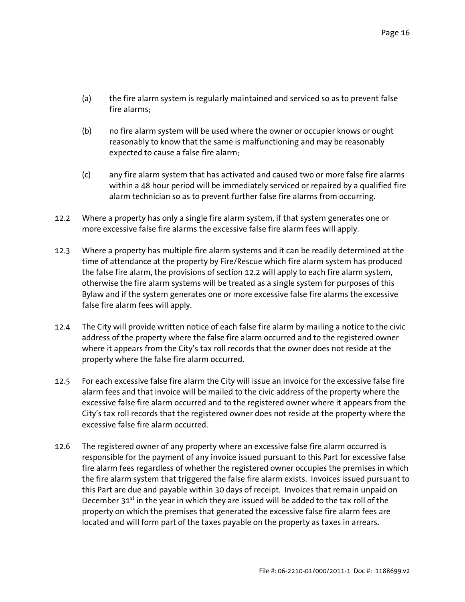- (a) the fire alarm system is regularly maintained and serviced so as to prevent false fire alarms;
- (b) no fire alarm system will be used where the owner or occupier knows or ought reasonably to know that the same is malfunctioning and may be reasonably expected to cause a false fire alarm;
- (c) any fire alarm system that has activated and caused two or more false fire alarms within a 48 hour period will be immediately serviced or repaired by a qualified fire alarm technician so as to prevent further false fire alarms from occurring.
- 12.2 Where a property has only a single fire alarm system, if that system generates one or more excessive false fire alarms the excessive false fire alarm fees will apply.
- 12.3 Where a property has multiple fire alarm systems and it can be readily determined at the time of attendance at the property by Fire/Rescue which fire alarm system has produced the false fire alarm, the provisions of section 12.2 will apply to each fire alarm system, otherwise the fire alarm systems will be treated as a single system for purposes of this Bylaw and if the system generates one or more excessive false fire alarms the excessive false fire alarm fees will apply.
- 12.4 The City will provide written notice of each false fire alarm by mailing a notice to the civic address of the property where the false fire alarm occurred and to the registered owner where it appears from the City's tax roll records that the owner does not reside at the property where the false fire alarm occurred.
- 12.5 For each excessive false fire alarm the City will issue an invoice for the excessive false fire alarm fees and that invoice will be mailed to the civic address of the property where the excessive false fire alarm occurred and to the registered owner where it appears from the City's tax roll records that the registered owner does not reside at the property where the excessive false fire alarm occurred.
- 12.6 The registered owner of any property where an excessive false fire alarm occurred is responsible for the payment of any invoice issued pursuant to this Part for excessive false fire alarm fees regardless of whether the registered owner occupies the premises in which the fire alarm system that triggered the false fire alarm exists. Invoices issued pursuant to this Part are due and payable within 30 days of receipt. Invoices that remain unpaid on December  $31<sup>st</sup>$  in the year in which they are issued will be added to the tax roll of the property on which the premises that generated the excessive false fire alarm fees are located and will form part of the taxes payable on the property as taxes in arrears.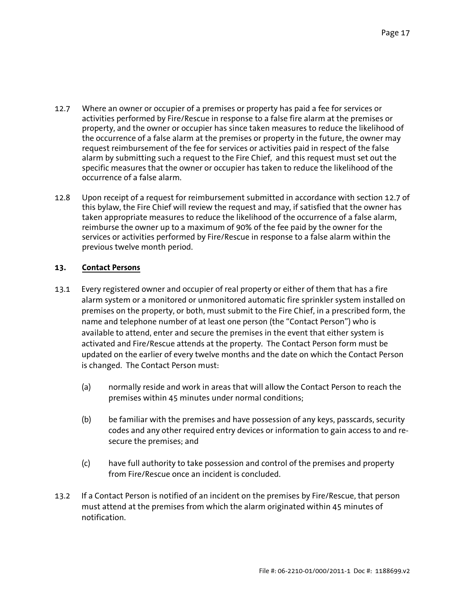- 12.7 Where an owner or occupier of a premises or property has paid a fee for services or activities performed by Fire/Rescue in response to a false fire alarm at the premises or property, and the owner or occupier has since taken measures to reduce the likelihood of the occurrence of a false alarm at the premises or property in the future, the owner may request reimbursement of the fee for services or activities paid in respect of the false alarm by submitting such a request to the Fire Chief, and this request must set out the specific measures that the owner or occupier has taken to reduce the likelihood of the occurrence of a false alarm.
- 12.8 Upon receipt of a request for reimbursement submitted in accordance with section 12.7 of this bylaw, the Fire Chief will review the request and may, if satisfied that the owner has taken appropriate measures to reduce the likelihood of the occurrence of a false alarm, reimburse the owner up to a maximum of 90% of the fee paid by the owner for the services or activities performed by Fire/Rescue in response to a false alarm within the previous twelve month period.

# **13. Contact Persons**

- 13.1 Every registered owner and occupier of real property or either of them that has a fire alarm system or a monitored or unmonitored automatic fire sprinkler system installed on premises on the property, or both, must submit to the Fire Chief, in a prescribed form, the name and telephone number of at least one person (the "Contact Person") who is available to attend, enter and secure the premises in the event that either system is activated and Fire/Rescue attends at the property. The Contact Person form must be updated on the earlier of every twelve months and the date on which the Contact Person is changed. The Contact Person must:
	- (a) normally reside and work in areas that will allow the Contact Person to reach the premises within 45 minutes under normal conditions;
	- (b) be familiar with the premises and have possession of any keys, passcards, security codes and any other required entry devices or information to gain access to and resecure the premises; and
	- (c) have full authority to take possession and control of the premises and property from Fire/Rescue once an incident is concluded.
- 13.2 If a Contact Person is notified of an incident on the premises by Fire/Rescue, that person must attend at the premises from which the alarm originated within 45 minutes of notification.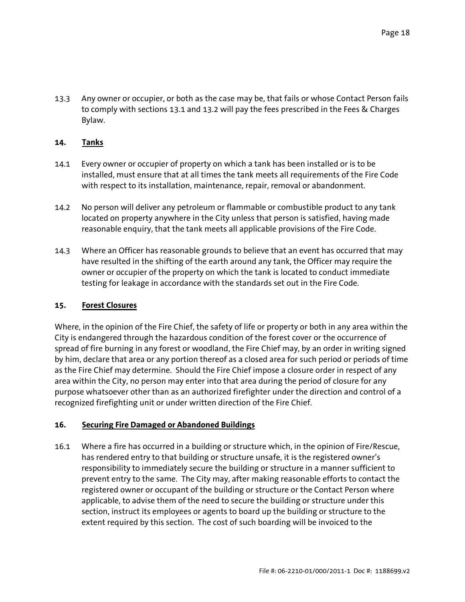13.3 Any owner or occupier, or both as the case may be, that fails or whose Contact Person fails to comply with sections 13.1 and 13.2 will pay the fees prescribed in the Fees & Charges Bylaw.

# **14. Tanks**

- 14.1 Every owner or occupier of property on which a tank has been installed or is to be installed, must ensure that at all times the tank meets all requirements of the Fire Code with respect to its installation, maintenance, repair, removal or abandonment.
- 14.2 No person will deliver any petroleum or flammable or combustible product to any tank located on property anywhere in the City unless that person is satisfied, having made reasonable enquiry, that the tank meets all applicable provisions of the Fire Code.
- 14.3 Where an Officer has reasonable grounds to believe that an event has occurred that may have resulted in the shifting of the earth around any tank, the Officer may require the owner or occupier of the property on which the tank is located to conduct immediate testing for leakage in accordance with the standards set out in the Fire Code.

## **15. Forest Closures**

Where, in the opinion of the Fire Chief, the safety of life or property or both in any area within the City is endangered through the hazardous condition of the forest cover or the occurrence of spread of fire burning in any forest or woodland, the Fire Chief may, by an order in writing signed by him, declare that area or any portion thereof as a closed area for such period or periods of time as the Fire Chief may determine. Should the Fire Chief impose a closure order in respect of any area within the City, no person may enter into that area during the period of closure for any purpose whatsoever other than as an authorized firefighter under the direction and control of a recognized firefighting unit or under written direction of the Fire Chief.

## **16. Securing Fire Damaged or Abandoned Buildings**

16.1 Where a fire has occurred in a building or structure which, in the opinion of Fire/Rescue, has rendered entry to that building or structure unsafe, it is the registered owner's responsibility to immediately secure the building or structure in a manner sufficient to prevent entry to the same. The City may, after making reasonable efforts to contact the registered owner or occupant of the building or structure or the Contact Person where applicable, to advise them of the need to secure the building or structure under this section, instruct its employees or agents to board up the building or structure to the extent required by this section. The cost of such boarding will be invoiced to the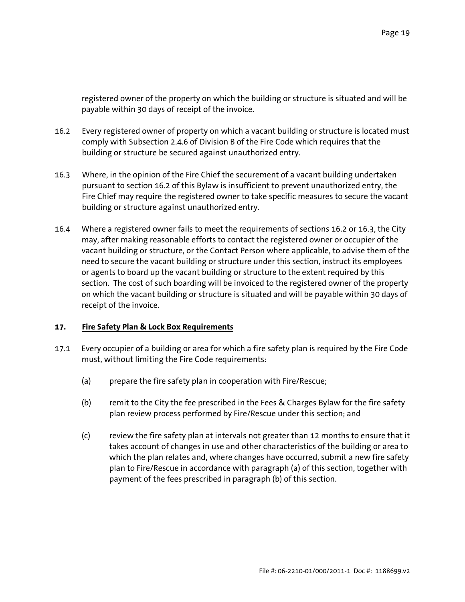registered owner of the property on which the building or structure is situated and will be payable within 30 days of receipt of the invoice.

- 16.2 Every registered owner of property on which a vacant building or structure is located must comply with Subsection 2.4.6 of Division B of the Fire Code which requires that the building or structure be secured against unauthorized entry.
- 16.3 Where, in the opinion of the Fire Chief the securement of a vacant building undertaken pursuant to section 16.2 of this Bylaw is insufficient to prevent unauthorized entry, the Fire Chief may require the registered owner to take specific measures to secure the vacant building or structure against unauthorized entry.
- 16.4 Where a registered owner fails to meet the requirements of sections 16.2 or 16.3, the City may, after making reasonable efforts to contact the registered owner or occupier of the vacant building or structure, or the Contact Person where applicable, to advise them of the need to secure the vacant building or structure under this section, instruct its employees or agents to board up the vacant building or structure to the extent required by this section. The cost of such boarding will be invoiced to the registered owner of the property on which the vacant building or structure is situated and will be payable within 30 days of receipt of the invoice.

## **17. Fire Safety Plan & Lock Box Requirements**

- 17.1 Every occupier of a building or area for which a fire safety plan is required by the Fire Code must, without limiting the Fire Code requirements:
	- (a) prepare the fire safety plan in cooperation with Fire/Rescue;
	- (b) remit to the City the fee prescribed in the Fees & Charges Bylaw for the fire safety plan review process performed by Fire/Rescue under this section; and
	- (c) review the fire safety plan at intervals not greater than 12 months to ensure that it takes account of changes in use and other characteristics of the building or area to which the plan relates and, where changes have occurred, submit a new fire safety plan to Fire/Rescue in accordance with paragraph (a) of this section, together with payment of the fees prescribed in paragraph (b) of this section.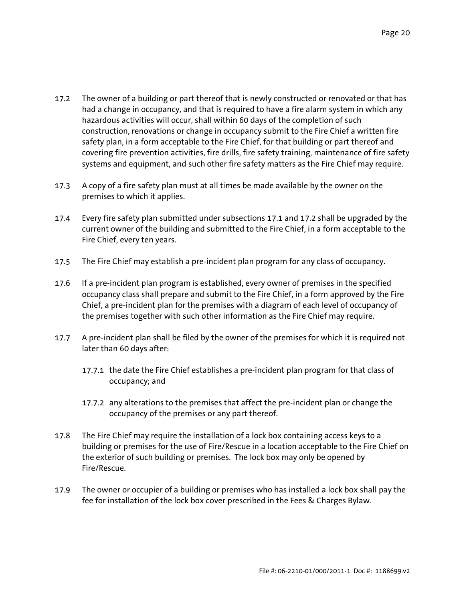- 17.2 The owner of a building or part thereof that is newly constructed or renovated or that has had a change in occupancy, and that is required to have a fire alarm system in which any hazardous activities will occur, shall within 60 days of the completion of such construction, renovations or change in occupancy submit to the Fire Chief a written fire safety plan, in a form acceptable to the Fire Chief, for that building or part thereof and covering fire prevention activities, fire drills, fire safety training, maintenance of fire safety systems and equipment, and such other fire safety matters as the Fire Chief may require.
- 17.3 A copy of a fire safety plan must at all times be made available by the owner on the premises to which it applies.
- 17.4 Every fire safety plan submitted under subsections 17.1 and 17.2 shall be upgraded by the current owner of the building and submitted to the Fire Chief, in a form acceptable to the Fire Chief, every ten years.
- 17.5 The Fire Chief may establish a pre-incident plan program for any class of occupancy.
- 17.6 If a pre-incident plan program is established, every owner of premises in the specified occupancy class shall prepare and submit to the Fire Chief, in a form approved by the Fire Chief, a pre-incident plan for the premises with a diagram of each level of occupancy of the premises together with such other information as the Fire Chief may require.
- 17.7 A pre-incident plan shall be filed by the owner of the premises for which it is required not later than 60 days after:
	- 17.7.1 the date the Fire Chief establishes a pre-incident plan program for that class of occupancy; and
	- 17.7.2 any alterations to the premises that affect the pre-incident plan or change the occupancy of the premises or any part thereof.
- 17.8 The Fire Chief may require the installation of a lock box containing access keys to a building or premises for the use of Fire/Rescue in a location acceptable to the Fire Chief on the exterior of such building or premises. The lock box may only be opened by Fire/Rescue.
- 17.9 The owner or occupier of a building or premises who has installed a lock box shall pay the fee for installation of the lock box cover prescribed in the Fees & Charges Bylaw.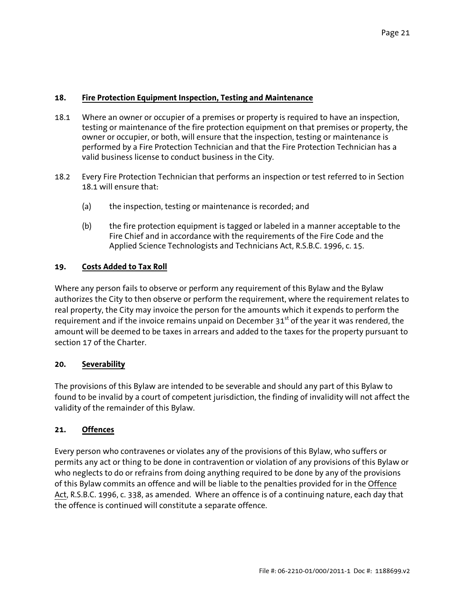## **18. Fire Protection Equipment Inspection, Testing and Maintenance**

- 18.1 Where an owner or occupier of a premises or property is required to have an inspection, testing or maintenance of the fire protection equipment on that premises or property, the owner or occupier, or both, will ensure that the inspection, testing or maintenance is performed by a Fire Protection Technician and that the Fire Protection Technician has a valid business license to conduct business in the City.
- 18.2 Every Fire Protection Technician that performs an inspection or test referred to in Section 18.1 will ensure that:
	- (a) the inspection, testing or maintenance is recorded; and
	- (b) the fire protection equipment is tagged or labeled in a manner acceptable to the Fire Chief and in accordance with the requirements of the Fire Code and the Applied Science Technologists and Technicians Act, R.S.B.C. 1996, c. 15.

## **19. Costs Added to Tax Roll**

Where any person fails to observe or perform any requirement of this Bylaw and the Bylaw authorizes the City to then observe or perform the requirement, where the requirement relates to real property, the City may invoice the person for the amounts which it expends to perform the requirement and if the invoice remains unpaid on December  $31<sup>st</sup>$  of the year it was rendered, the amount will be deemed to be taxes in arrears and added to the taxes for the property pursuant to section 17 of the Charter.

#### **20. Severability**

The provisions of this Bylaw are intended to be severable and should any part of this Bylaw to found to be invalid by a court of competent jurisdiction, the finding of invalidity will not affect the validity of the remainder of this Bylaw.

## **21. Offences**

Every person who contravenes or violates any of the provisions of this Bylaw, who suffers or permits any act or thing to be done in contravention or violation of any provisions of this Bylaw or who neglects to do or refrains from doing anything required to be done by any of the provisions of this Bylaw commits an offence and will be liable to the penalties provided for in the Offence Act, R.S.B.C. 1996, c. 338, as amended. Where an offence is of a continuing nature, each day that the offence is continued will constitute a separate offence.